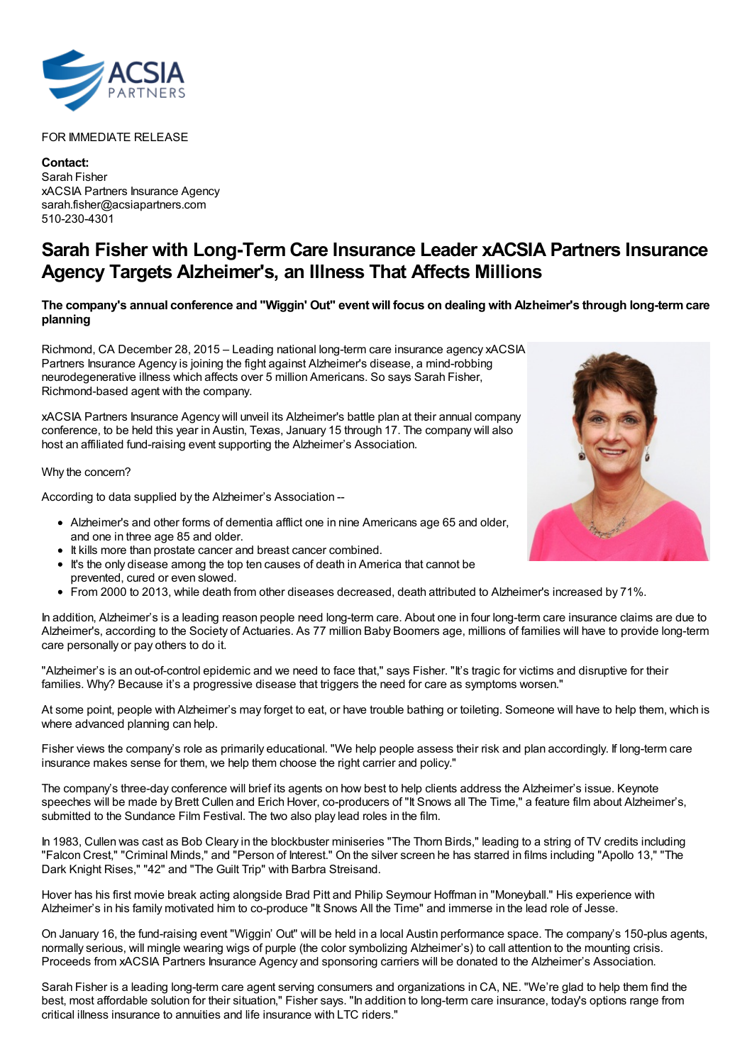

## FOR IMMEDIATE RELEASE

**Contact:** Sarah Fisher xACSIA Partners Insurance Agency sarah.fisher@acsiapartners.com 510-230-4301

## **Sarah Fisher with Long-Term Care Insurance Leader xACSIA Partners Insurance Agency Targets Alzheimer's, an Illness That Affects Millions**

## The company's annual conference and "Wiggin' Out" event will focus on dealing with Alzheimer's through long-term care **planning**

Richmond, CA December 28, 2015 – Leading national long-term care insurance agency xACSIA Partners Insurance Agency is joining the fight against Alzheimer's disease, a mind-robbing neurodegenerative illness which affects over 5 million Americans. So says Sarah Fisher, Richmond-based agent with the company.

xACSIA Partners Insurance Agency will unveil its Alzheimer's battle plan at their annual company conference, to be held this year in Austin, Texas, January 15 through 17. The company will also host an affiliated fund-raising event supporting the Alzheimer's Association.

Why the concern?

According to data supplied by the Alzheimer's Association --

- Alzheimer's and other forms of dementia afflict one in nine Americans age 65 and older, and one in three age 85 and older.
- It kills more than prostate cancer and breast cancer combined.
- It's the only disease among the top ten causes of death in America that cannot be prevented, cured or even slowed.
- From 2000 to 2013, while death from other diseases decreased, death attributed to Alzheimer's increased by 71%.

In addition, Alzheimer's is a leading reason people need long-term care. About one in four long-term care insurance claims are due to Alzheimer's, according to the Society of Actuaries. As 77 million Baby Boomers age, millions of families will have to provide long-term care personally or pay others to do it.

"Alzheimer's is an out-of-control epidemic and we need to face that," says Fisher. "It's tragic for victims and disruptive for their families. Why? Because it's a progressive disease that triggers the need for care as symptoms worsen."

At some point, people with Alzheimer's may forget to eat, or have trouble bathing or toileting. Someone will have to help them, which is where advanced planning can help.

Fisher views the company's role as primarily educational. "We help people assess their risk and plan accordingly. If long-term care insurance makes sense for them, we help them choose the right carrier and policy."

The company's three-day conference will brief its agents on how best to help clients address the Alzheimer's issue. Keynote speeches will be made by Brett Cullen and Erich Hover, co-producers of "It Snows all The Time," a feature film about Alzheimer's, submitted to the Sundance Film Festival. The two also play lead roles in the film.

In 1983, Cullen was cast as Bob Cleary in the blockbuster miniseries "The Thorn Birds," leading to a string of TV credits including "Falcon Crest," "Criminal Minds," and "Person of Interest." On the silver screen he has starred in films including "Apollo 13," "The Dark Knight Rises," "42" and "The Guilt Trip" with Barbra Streisand.

Hover has his first movie break acting alongside Brad Pitt and Philip Seymour Hoffman in "Moneyball." His experience with Alzheimer's in his family motivated him to co-produce "It Snows All the Time" and immerse in the lead role of Jesse.

On January 16, the fund-raising event "Wiggin' Out" will be held in a local Austin performance space. The company's 150-plus agents, normally serious, will mingle wearing wigs of purple (the color symbolizing Alzheimer's) to call attention to the mounting crisis. Proceeds from xACSIA Partners Insurance Agency and sponsoring carriers will be donated to the Alzheimer's Association.

Sarah Fisher is a leading long-term care agent serving consumers and organizations in CA, NE. "We're glad to help them find the best, most affordable solution for their situation," Fisher says. "In addition to long-term care insurance, today's options range from critical illness insurance to annuities and life insurance with LTC riders."